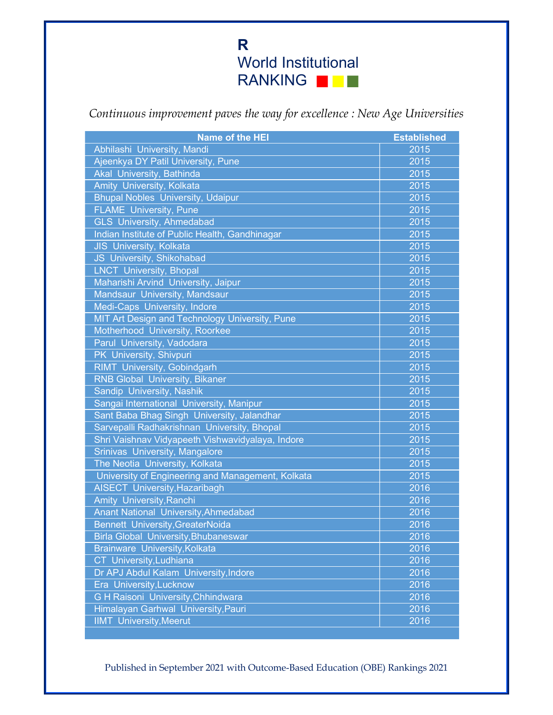Continuous improvement paves the way for excellence : New Age Universities

| <b>Name of the HEI</b>                            | <b>Established</b> |
|---------------------------------------------------|--------------------|
| Abhilashi University, Mandi                       | 2015               |
| Ajeenkya DY Patil University, Pune                | 2015               |
| <b>Akal University, Bathinda</b>                  | 2015               |
| Amity University, Kolkata                         | 2015               |
| <b>Bhupal Nobles University, Udaipur</b>          | 2015               |
| <b>FLAME</b> University, Pune                     | 2015               |
| <b>GLS</b> University, Ahmedabad                  | 2015               |
| Indian Institute of Public Health, Gandhinagar    | 2015               |
| JIS University, Kolkata                           | 2015               |
| <b>JS</b> University, Shikohabad                  | 2015               |
| <b>LNCT</b> University, Bhopal                    | 2015               |
| Maharishi Arvind University, Jaipur               | 2015               |
| Mandsaur University, Mandsaur                     | 2015               |
| Medi-Caps University, Indore                      | 2015               |
| MIT Art Design and Technology University, Pune    | 2015               |
| Motherhood University, Roorkee                    | 2015               |
| Parul University, Vadodara                        | 2015               |
| PK University, Shivpuri                           | 2015               |
| <b>RIMT</b> University, Gobindgarh                | 2015               |
| <b>RNB Global University, Bikaner</b>             | 2015               |
| Sandip University, Nashik                         | 2015               |
| Sangai International University, Manipur          | 2015               |
| Sant Baba Bhag Singh University, Jalandhar        | 2015               |
| Sarvepalli Radhakrishnan University, Bhopal       | 2015               |
| Shri Vaishnav Vidyapeeth Vishwavidyalaya, Indore  | 2015               |
| Srinivas University, Mangalore                    | 2015               |
| The Neotia University, Kolkata                    | 2015               |
| University of Engineering and Management, Kolkata | 2015               |
| <b>AISECT University, Hazaribagh</b>              | 2016               |
| Amity University, Ranchi                          | 2016               |
| <b>Anant National University, Ahmedabad</b>       | 2016               |
| <b>Bennett University, GreaterNoida</b>           | 2016               |
| <b>Birla Global University, Bhubaneswar</b>       | 2016               |
| Brainware University, Kolkata                     | 2016               |
| CT University, Ludhiana                           | 2016               |
| Dr APJ Abdul Kalam University, Indore             | 2016               |
| Era University, Lucknow                           | 2016               |
| G H Raisoni University, Chhindwara                | 2016               |
| Himalayan Garhwal University, Pauri               | 2016               |
| <b>IIMT</b> University, Meerut                    | 2016               |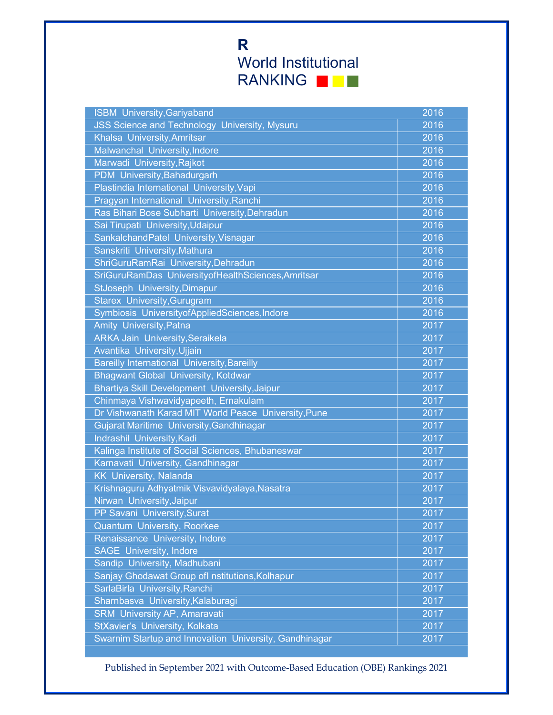| JSS Science and Technology University, Mysuru<br>2016<br>Khalsa University, Amritsar<br>2016<br>Malwanchal University, Indore<br>2016<br>Marwadi University, Rajkot<br>2016<br>PDM University, Bahadurgarh<br>2016<br>Plastindia International University, Vapi<br>2016<br>Pragyan International University, Ranchi<br>2016<br>Ras Bihari Bose Subharti University, Dehradun<br>2016<br>Sai Tirupati University, Udaipur<br>2016<br>SankalchandPatel University, Visnagar<br>2016<br>Sanskriti University, Mathura<br>2016<br>ShriGuruRamRai University, Dehradun<br>2016<br>SriGuruRamDas UniversityofHealthSciences, Amritsar<br>2016<br><b>StJoseph University, Dimapur</b><br>2016<br><b>Starex University, Gurugram</b><br>2016<br>Symbiosis UniversityofAppliedSciences, Indore<br>2016<br>Amity University, Patna<br>2017<br><b>ARKA Jain University, Seraikela</b><br>2017<br>Avantika University, Ujjain<br>2017<br><b>Bareilly International University, Bareilly</b><br>2017<br><b>Bhagwant Global University, Kotdwar</b><br>2017<br>Bhartiya Skill Development University, Jaipur<br>2017<br>Chinmaya Vishwavidyapeeth, Ernakulam<br>2017<br>Dr Vishwanath Karad MIT World Peace University, Pune<br>2017<br><b>Gujarat Maritime University, Gandhinagar</b><br>2017<br>Indrashil University, Kadi<br>2017<br>Kalinga Institute of Social Sciences, Bhubaneswar<br>2017<br>Karnavati University, Gandhinagar<br>2017<br><b>KK University, Nalanda</b><br>2017<br>Krishnaguru Adhyatmik Visvavidyalaya, Nasatra<br>2017 |
|-------------------------------------------------------------------------------------------------------------------------------------------------------------------------------------------------------------------------------------------------------------------------------------------------------------------------------------------------------------------------------------------------------------------------------------------------------------------------------------------------------------------------------------------------------------------------------------------------------------------------------------------------------------------------------------------------------------------------------------------------------------------------------------------------------------------------------------------------------------------------------------------------------------------------------------------------------------------------------------------------------------------------------------------------------------------------------------------------------------------------------------------------------------------------------------------------------------------------------------------------------------------------------------------------------------------------------------------------------------------------------------------------------------------------------------------------------------------------------------------------------------------------------------|
|                                                                                                                                                                                                                                                                                                                                                                                                                                                                                                                                                                                                                                                                                                                                                                                                                                                                                                                                                                                                                                                                                                                                                                                                                                                                                                                                                                                                                                                                                                                                     |
|                                                                                                                                                                                                                                                                                                                                                                                                                                                                                                                                                                                                                                                                                                                                                                                                                                                                                                                                                                                                                                                                                                                                                                                                                                                                                                                                                                                                                                                                                                                                     |
|                                                                                                                                                                                                                                                                                                                                                                                                                                                                                                                                                                                                                                                                                                                                                                                                                                                                                                                                                                                                                                                                                                                                                                                                                                                                                                                                                                                                                                                                                                                                     |
|                                                                                                                                                                                                                                                                                                                                                                                                                                                                                                                                                                                                                                                                                                                                                                                                                                                                                                                                                                                                                                                                                                                                                                                                                                                                                                                                                                                                                                                                                                                                     |
|                                                                                                                                                                                                                                                                                                                                                                                                                                                                                                                                                                                                                                                                                                                                                                                                                                                                                                                                                                                                                                                                                                                                                                                                                                                                                                                                                                                                                                                                                                                                     |
|                                                                                                                                                                                                                                                                                                                                                                                                                                                                                                                                                                                                                                                                                                                                                                                                                                                                                                                                                                                                                                                                                                                                                                                                                                                                                                                                                                                                                                                                                                                                     |
|                                                                                                                                                                                                                                                                                                                                                                                                                                                                                                                                                                                                                                                                                                                                                                                                                                                                                                                                                                                                                                                                                                                                                                                                                                                                                                                                                                                                                                                                                                                                     |
|                                                                                                                                                                                                                                                                                                                                                                                                                                                                                                                                                                                                                                                                                                                                                                                                                                                                                                                                                                                                                                                                                                                                                                                                                                                                                                                                                                                                                                                                                                                                     |
|                                                                                                                                                                                                                                                                                                                                                                                                                                                                                                                                                                                                                                                                                                                                                                                                                                                                                                                                                                                                                                                                                                                                                                                                                                                                                                                                                                                                                                                                                                                                     |
|                                                                                                                                                                                                                                                                                                                                                                                                                                                                                                                                                                                                                                                                                                                                                                                                                                                                                                                                                                                                                                                                                                                                                                                                                                                                                                                                                                                                                                                                                                                                     |
|                                                                                                                                                                                                                                                                                                                                                                                                                                                                                                                                                                                                                                                                                                                                                                                                                                                                                                                                                                                                                                                                                                                                                                                                                                                                                                                                                                                                                                                                                                                                     |
|                                                                                                                                                                                                                                                                                                                                                                                                                                                                                                                                                                                                                                                                                                                                                                                                                                                                                                                                                                                                                                                                                                                                                                                                                                                                                                                                                                                                                                                                                                                                     |
|                                                                                                                                                                                                                                                                                                                                                                                                                                                                                                                                                                                                                                                                                                                                                                                                                                                                                                                                                                                                                                                                                                                                                                                                                                                                                                                                                                                                                                                                                                                                     |
|                                                                                                                                                                                                                                                                                                                                                                                                                                                                                                                                                                                                                                                                                                                                                                                                                                                                                                                                                                                                                                                                                                                                                                                                                                                                                                                                                                                                                                                                                                                                     |
|                                                                                                                                                                                                                                                                                                                                                                                                                                                                                                                                                                                                                                                                                                                                                                                                                                                                                                                                                                                                                                                                                                                                                                                                                                                                                                                                                                                                                                                                                                                                     |
|                                                                                                                                                                                                                                                                                                                                                                                                                                                                                                                                                                                                                                                                                                                                                                                                                                                                                                                                                                                                                                                                                                                                                                                                                                                                                                                                                                                                                                                                                                                                     |
|                                                                                                                                                                                                                                                                                                                                                                                                                                                                                                                                                                                                                                                                                                                                                                                                                                                                                                                                                                                                                                                                                                                                                                                                                                                                                                                                                                                                                                                                                                                                     |
|                                                                                                                                                                                                                                                                                                                                                                                                                                                                                                                                                                                                                                                                                                                                                                                                                                                                                                                                                                                                                                                                                                                                                                                                                                                                                                                                                                                                                                                                                                                                     |
|                                                                                                                                                                                                                                                                                                                                                                                                                                                                                                                                                                                                                                                                                                                                                                                                                                                                                                                                                                                                                                                                                                                                                                                                                                                                                                                                                                                                                                                                                                                                     |
|                                                                                                                                                                                                                                                                                                                                                                                                                                                                                                                                                                                                                                                                                                                                                                                                                                                                                                                                                                                                                                                                                                                                                                                                                                                                                                                                                                                                                                                                                                                                     |
|                                                                                                                                                                                                                                                                                                                                                                                                                                                                                                                                                                                                                                                                                                                                                                                                                                                                                                                                                                                                                                                                                                                                                                                                                                                                                                                                                                                                                                                                                                                                     |
|                                                                                                                                                                                                                                                                                                                                                                                                                                                                                                                                                                                                                                                                                                                                                                                                                                                                                                                                                                                                                                                                                                                                                                                                                                                                                                                                                                                                                                                                                                                                     |
|                                                                                                                                                                                                                                                                                                                                                                                                                                                                                                                                                                                                                                                                                                                                                                                                                                                                                                                                                                                                                                                                                                                                                                                                                                                                                                                                                                                                                                                                                                                                     |
|                                                                                                                                                                                                                                                                                                                                                                                                                                                                                                                                                                                                                                                                                                                                                                                                                                                                                                                                                                                                                                                                                                                                                                                                                                                                                                                                                                                                                                                                                                                                     |
|                                                                                                                                                                                                                                                                                                                                                                                                                                                                                                                                                                                                                                                                                                                                                                                                                                                                                                                                                                                                                                                                                                                                                                                                                                                                                                                                                                                                                                                                                                                                     |
|                                                                                                                                                                                                                                                                                                                                                                                                                                                                                                                                                                                                                                                                                                                                                                                                                                                                                                                                                                                                                                                                                                                                                                                                                                                                                                                                                                                                                                                                                                                                     |
|                                                                                                                                                                                                                                                                                                                                                                                                                                                                                                                                                                                                                                                                                                                                                                                                                                                                                                                                                                                                                                                                                                                                                                                                                                                                                                                                                                                                                                                                                                                                     |
|                                                                                                                                                                                                                                                                                                                                                                                                                                                                                                                                                                                                                                                                                                                                                                                                                                                                                                                                                                                                                                                                                                                                                                                                                                                                                                                                                                                                                                                                                                                                     |
|                                                                                                                                                                                                                                                                                                                                                                                                                                                                                                                                                                                                                                                                                                                                                                                                                                                                                                                                                                                                                                                                                                                                                                                                                                                                                                                                                                                                                                                                                                                                     |
|                                                                                                                                                                                                                                                                                                                                                                                                                                                                                                                                                                                                                                                                                                                                                                                                                                                                                                                                                                                                                                                                                                                                                                                                                                                                                                                                                                                                                                                                                                                                     |
| Nirwan University, Jaipur<br>2017                                                                                                                                                                                                                                                                                                                                                                                                                                                                                                                                                                                                                                                                                                                                                                                                                                                                                                                                                                                                                                                                                                                                                                                                                                                                                                                                                                                                                                                                                                   |
| 2017<br><b>PP Savani University, Surat</b>                                                                                                                                                                                                                                                                                                                                                                                                                                                                                                                                                                                                                                                                                                                                                                                                                                                                                                                                                                                                                                                                                                                                                                                                                                                                                                                                                                                                                                                                                          |
| Quantum University, Roorkee<br>2017                                                                                                                                                                                                                                                                                                                                                                                                                                                                                                                                                                                                                                                                                                                                                                                                                                                                                                                                                                                                                                                                                                                                                                                                                                                                                                                                                                                                                                                                                                 |
| Renaissance University, Indore<br>2017                                                                                                                                                                                                                                                                                                                                                                                                                                                                                                                                                                                                                                                                                                                                                                                                                                                                                                                                                                                                                                                                                                                                                                                                                                                                                                                                                                                                                                                                                              |
| <b>SAGE University, Indore</b><br>2017                                                                                                                                                                                                                                                                                                                                                                                                                                                                                                                                                                                                                                                                                                                                                                                                                                                                                                                                                                                                                                                                                                                                                                                                                                                                                                                                                                                                                                                                                              |
| Sandip University, Madhubani<br>2017                                                                                                                                                                                                                                                                                                                                                                                                                                                                                                                                                                                                                                                                                                                                                                                                                                                                                                                                                                                                                                                                                                                                                                                                                                                                                                                                                                                                                                                                                                |
| Sanjay Ghodawat Group ofl nstitutions, Kolhapur<br>2017                                                                                                                                                                                                                                                                                                                                                                                                                                                                                                                                                                                                                                                                                                                                                                                                                                                                                                                                                                                                                                                                                                                                                                                                                                                                                                                                                                                                                                                                             |
| SarlaBirla University, Ranchi<br>2017                                                                                                                                                                                                                                                                                                                                                                                                                                                                                                                                                                                                                                                                                                                                                                                                                                                                                                                                                                                                                                                                                                                                                                                                                                                                                                                                                                                                                                                                                               |
| Sharnbasva University, Kalaburagi<br>2017                                                                                                                                                                                                                                                                                                                                                                                                                                                                                                                                                                                                                                                                                                                                                                                                                                                                                                                                                                                                                                                                                                                                                                                                                                                                                                                                                                                                                                                                                           |
| <b>SRM University AP, Amaravati</b><br>2017                                                                                                                                                                                                                                                                                                                                                                                                                                                                                                                                                                                                                                                                                                                                                                                                                                                                                                                                                                                                                                                                                                                                                                                                                                                                                                                                                                                                                                                                                         |
| StXavier's University, Kolkata<br>2017                                                                                                                                                                                                                                                                                                                                                                                                                                                                                                                                                                                                                                                                                                                                                                                                                                                                                                                                                                                                                                                                                                                                                                                                                                                                                                                                                                                                                                                                                              |
| Swarnim Startup and Innovation University, Gandhinagar<br>2017                                                                                                                                                                                                                                                                                                                                                                                                                                                                                                                                                                                                                                                                                                                                                                                                                                                                                                                                                                                                                                                                                                                                                                                                                                                                                                                                                                                                                                                                      |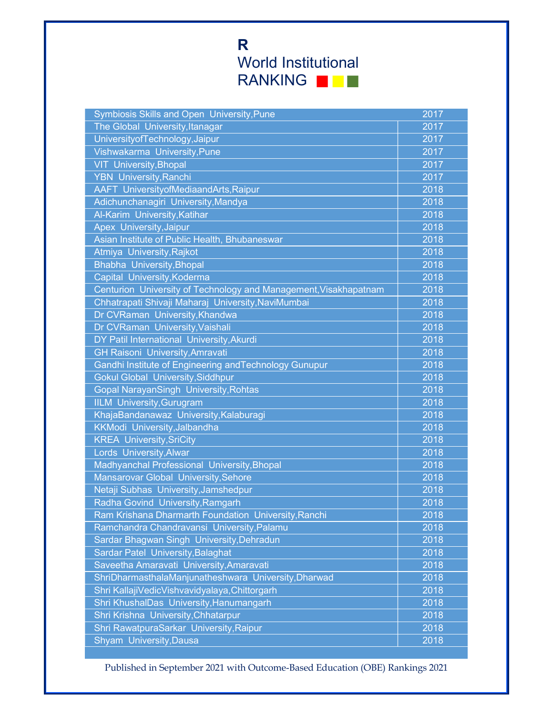| The Global University, Itanagar<br>2017<br>University of Technology, Jaipur<br>2017<br>Vishwakarma University, Pune<br>2017<br><b>VIT</b> University, Bhopal<br>2017<br><b>YBN</b> University, Ranchi<br>2017<br>AAFT UniversityofMediaandArts, Raipur<br>2018<br>Adichunchanagiri University, Mandya<br>2018<br>Al-Karim University, Katihar<br>2018<br>Apex University, Jaipur<br>2018<br>Asian Institute of Public Health, Bhubaneswar<br>2018<br>Atmiya University, Rajkot<br>2018<br><b>Bhabha University, Bhopal</b><br>2018<br>Capital University, Koderma<br>2018<br>Centurion University of Technology and Management, Visakhapatnam<br>2018<br>Chhatrapati Shivaji Maharaj University, NaviMumbai<br>2018<br>Dr CVRaman University, Khandwa<br>2018<br>Dr CVRaman University, Vaishali<br>2018<br>DY Patil International University, Akurdi<br>2018<br><b>GH Raisoni University, Amravati</b><br>2018<br>Gandhi Institute of Engineering and Technology Gunupur<br>2018<br><b>Gokul Global University, Siddhpur</b><br>2018<br>Gopal NarayanSingh University, Rohtas<br>2018<br><b>IILM University, Gurugram</b><br>2018<br>KhajaBandanawaz University, Kalaburagi<br>2018<br>KKModi University, Jalbandha<br>2018<br><b>KREA University, SriCity</b><br>2018<br>Lords University, Alwar<br>2018<br>Madhyanchal Professional University, Bhopal<br>2018<br>Mansarovar Global University, Sehore<br>2018<br>Netaji Subhas University, Jamshedpur<br>2018<br>Radha Govind University, Ramgarh<br>2018<br>Ram Krishana Dharmarth Foundation University, Ranchi<br>2018<br>Ramchandra Chandravansi University, Palamu<br>2018<br>Sardar Bhagwan Singh University, Dehradun<br>2018<br><b>Sardar Patel University, Balaghat</b><br>2018<br>Saveetha Amaravati University, Amaravati<br>2018<br>ShriDharmasthalaManjunatheshwara University,Dharwad<br>2018<br>Shri KallajiVedicVishvavidyalaya, Chittorgarh<br>2018<br>Shri KhushalDas University, Hanumangarh<br>2018<br>Shri Krishna University, Chhatarpur<br>2018<br>Shri RawatpuraSarkar University, Raipur<br>2018<br>Shyam University, Dausa<br>2018 | Symbiosis Skills and Open University, Pune | 2017 |
|------------------------------------------------------------------------------------------------------------------------------------------------------------------------------------------------------------------------------------------------------------------------------------------------------------------------------------------------------------------------------------------------------------------------------------------------------------------------------------------------------------------------------------------------------------------------------------------------------------------------------------------------------------------------------------------------------------------------------------------------------------------------------------------------------------------------------------------------------------------------------------------------------------------------------------------------------------------------------------------------------------------------------------------------------------------------------------------------------------------------------------------------------------------------------------------------------------------------------------------------------------------------------------------------------------------------------------------------------------------------------------------------------------------------------------------------------------------------------------------------------------------------------------------------------------------------------------------------------------------------------------------------------------------------------------------------------------------------------------------------------------------------------------------------------------------------------------------------------------------------------------------------------------------------------------------------------------------------------------------------------------------------------------------------------------------------------------------------------------------|--------------------------------------------|------|
|                                                                                                                                                                                                                                                                                                                                                                                                                                                                                                                                                                                                                                                                                                                                                                                                                                                                                                                                                                                                                                                                                                                                                                                                                                                                                                                                                                                                                                                                                                                                                                                                                                                                                                                                                                                                                                                                                                                                                                                                                                                                                                                  |                                            |      |
|                                                                                                                                                                                                                                                                                                                                                                                                                                                                                                                                                                                                                                                                                                                                                                                                                                                                                                                                                                                                                                                                                                                                                                                                                                                                                                                                                                                                                                                                                                                                                                                                                                                                                                                                                                                                                                                                                                                                                                                                                                                                                                                  |                                            |      |
|                                                                                                                                                                                                                                                                                                                                                                                                                                                                                                                                                                                                                                                                                                                                                                                                                                                                                                                                                                                                                                                                                                                                                                                                                                                                                                                                                                                                                                                                                                                                                                                                                                                                                                                                                                                                                                                                                                                                                                                                                                                                                                                  |                                            |      |
|                                                                                                                                                                                                                                                                                                                                                                                                                                                                                                                                                                                                                                                                                                                                                                                                                                                                                                                                                                                                                                                                                                                                                                                                                                                                                                                                                                                                                                                                                                                                                                                                                                                                                                                                                                                                                                                                                                                                                                                                                                                                                                                  |                                            |      |
|                                                                                                                                                                                                                                                                                                                                                                                                                                                                                                                                                                                                                                                                                                                                                                                                                                                                                                                                                                                                                                                                                                                                                                                                                                                                                                                                                                                                                                                                                                                                                                                                                                                                                                                                                                                                                                                                                                                                                                                                                                                                                                                  |                                            |      |
|                                                                                                                                                                                                                                                                                                                                                                                                                                                                                                                                                                                                                                                                                                                                                                                                                                                                                                                                                                                                                                                                                                                                                                                                                                                                                                                                                                                                                                                                                                                                                                                                                                                                                                                                                                                                                                                                                                                                                                                                                                                                                                                  |                                            |      |
|                                                                                                                                                                                                                                                                                                                                                                                                                                                                                                                                                                                                                                                                                                                                                                                                                                                                                                                                                                                                                                                                                                                                                                                                                                                                                                                                                                                                                                                                                                                                                                                                                                                                                                                                                                                                                                                                                                                                                                                                                                                                                                                  |                                            |      |
|                                                                                                                                                                                                                                                                                                                                                                                                                                                                                                                                                                                                                                                                                                                                                                                                                                                                                                                                                                                                                                                                                                                                                                                                                                                                                                                                                                                                                                                                                                                                                                                                                                                                                                                                                                                                                                                                                                                                                                                                                                                                                                                  |                                            |      |
|                                                                                                                                                                                                                                                                                                                                                                                                                                                                                                                                                                                                                                                                                                                                                                                                                                                                                                                                                                                                                                                                                                                                                                                                                                                                                                                                                                                                                                                                                                                                                                                                                                                                                                                                                                                                                                                                                                                                                                                                                                                                                                                  |                                            |      |
|                                                                                                                                                                                                                                                                                                                                                                                                                                                                                                                                                                                                                                                                                                                                                                                                                                                                                                                                                                                                                                                                                                                                                                                                                                                                                                                                                                                                                                                                                                                                                                                                                                                                                                                                                                                                                                                                                                                                                                                                                                                                                                                  |                                            |      |
|                                                                                                                                                                                                                                                                                                                                                                                                                                                                                                                                                                                                                                                                                                                                                                                                                                                                                                                                                                                                                                                                                                                                                                                                                                                                                                                                                                                                                                                                                                                                                                                                                                                                                                                                                                                                                                                                                                                                                                                                                                                                                                                  |                                            |      |
|                                                                                                                                                                                                                                                                                                                                                                                                                                                                                                                                                                                                                                                                                                                                                                                                                                                                                                                                                                                                                                                                                                                                                                                                                                                                                                                                                                                                                                                                                                                                                                                                                                                                                                                                                                                                                                                                                                                                                                                                                                                                                                                  |                                            |      |
|                                                                                                                                                                                                                                                                                                                                                                                                                                                                                                                                                                                                                                                                                                                                                                                                                                                                                                                                                                                                                                                                                                                                                                                                                                                                                                                                                                                                                                                                                                                                                                                                                                                                                                                                                                                                                                                                                                                                                                                                                                                                                                                  |                                            |      |
|                                                                                                                                                                                                                                                                                                                                                                                                                                                                                                                                                                                                                                                                                                                                                                                                                                                                                                                                                                                                                                                                                                                                                                                                                                                                                                                                                                                                                                                                                                                                                                                                                                                                                                                                                                                                                                                                                                                                                                                                                                                                                                                  |                                            |      |
|                                                                                                                                                                                                                                                                                                                                                                                                                                                                                                                                                                                                                                                                                                                                                                                                                                                                                                                                                                                                                                                                                                                                                                                                                                                                                                                                                                                                                                                                                                                                                                                                                                                                                                                                                                                                                                                                                                                                                                                                                                                                                                                  |                                            |      |
|                                                                                                                                                                                                                                                                                                                                                                                                                                                                                                                                                                                                                                                                                                                                                                                                                                                                                                                                                                                                                                                                                                                                                                                                                                                                                                                                                                                                                                                                                                                                                                                                                                                                                                                                                                                                                                                                                                                                                                                                                                                                                                                  |                                            |      |
|                                                                                                                                                                                                                                                                                                                                                                                                                                                                                                                                                                                                                                                                                                                                                                                                                                                                                                                                                                                                                                                                                                                                                                                                                                                                                                                                                                                                                                                                                                                                                                                                                                                                                                                                                                                                                                                                                                                                                                                                                                                                                                                  |                                            |      |
|                                                                                                                                                                                                                                                                                                                                                                                                                                                                                                                                                                                                                                                                                                                                                                                                                                                                                                                                                                                                                                                                                                                                                                                                                                                                                                                                                                                                                                                                                                                                                                                                                                                                                                                                                                                                                                                                                                                                                                                                                                                                                                                  |                                            |      |
|                                                                                                                                                                                                                                                                                                                                                                                                                                                                                                                                                                                                                                                                                                                                                                                                                                                                                                                                                                                                                                                                                                                                                                                                                                                                                                                                                                                                                                                                                                                                                                                                                                                                                                                                                                                                                                                                                                                                                                                                                                                                                                                  |                                            |      |
|                                                                                                                                                                                                                                                                                                                                                                                                                                                                                                                                                                                                                                                                                                                                                                                                                                                                                                                                                                                                                                                                                                                                                                                                                                                                                                                                                                                                                                                                                                                                                                                                                                                                                                                                                                                                                                                                                                                                                                                                                                                                                                                  |                                            |      |
|                                                                                                                                                                                                                                                                                                                                                                                                                                                                                                                                                                                                                                                                                                                                                                                                                                                                                                                                                                                                                                                                                                                                                                                                                                                                                                                                                                                                                                                                                                                                                                                                                                                                                                                                                                                                                                                                                                                                                                                                                                                                                                                  |                                            |      |
|                                                                                                                                                                                                                                                                                                                                                                                                                                                                                                                                                                                                                                                                                                                                                                                                                                                                                                                                                                                                                                                                                                                                                                                                                                                                                                                                                                                                                                                                                                                                                                                                                                                                                                                                                                                                                                                                                                                                                                                                                                                                                                                  |                                            |      |
|                                                                                                                                                                                                                                                                                                                                                                                                                                                                                                                                                                                                                                                                                                                                                                                                                                                                                                                                                                                                                                                                                                                                                                                                                                                                                                                                                                                                                                                                                                                                                                                                                                                                                                                                                                                                                                                                                                                                                                                                                                                                                                                  |                                            |      |
|                                                                                                                                                                                                                                                                                                                                                                                                                                                                                                                                                                                                                                                                                                                                                                                                                                                                                                                                                                                                                                                                                                                                                                                                                                                                                                                                                                                                                                                                                                                                                                                                                                                                                                                                                                                                                                                                                                                                                                                                                                                                                                                  |                                            |      |
|                                                                                                                                                                                                                                                                                                                                                                                                                                                                                                                                                                                                                                                                                                                                                                                                                                                                                                                                                                                                                                                                                                                                                                                                                                                                                                                                                                                                                                                                                                                                                                                                                                                                                                                                                                                                                                                                                                                                                                                                                                                                                                                  |                                            |      |
|                                                                                                                                                                                                                                                                                                                                                                                                                                                                                                                                                                                                                                                                                                                                                                                                                                                                                                                                                                                                                                                                                                                                                                                                                                                                                                                                                                                                                                                                                                                                                                                                                                                                                                                                                                                                                                                                                                                                                                                                                                                                                                                  |                                            |      |
|                                                                                                                                                                                                                                                                                                                                                                                                                                                                                                                                                                                                                                                                                                                                                                                                                                                                                                                                                                                                                                                                                                                                                                                                                                                                                                                                                                                                                                                                                                                                                                                                                                                                                                                                                                                                                                                                                                                                                                                                                                                                                                                  |                                            |      |
|                                                                                                                                                                                                                                                                                                                                                                                                                                                                                                                                                                                                                                                                                                                                                                                                                                                                                                                                                                                                                                                                                                                                                                                                                                                                                                                                                                                                                                                                                                                                                                                                                                                                                                                                                                                                                                                                                                                                                                                                                                                                                                                  |                                            |      |
|                                                                                                                                                                                                                                                                                                                                                                                                                                                                                                                                                                                                                                                                                                                                                                                                                                                                                                                                                                                                                                                                                                                                                                                                                                                                                                                                                                                                                                                                                                                                                                                                                                                                                                                                                                                                                                                                                                                                                                                                                                                                                                                  |                                            |      |
|                                                                                                                                                                                                                                                                                                                                                                                                                                                                                                                                                                                                                                                                                                                                                                                                                                                                                                                                                                                                                                                                                                                                                                                                                                                                                                                                                                                                                                                                                                                                                                                                                                                                                                                                                                                                                                                                                                                                                                                                                                                                                                                  |                                            |      |
|                                                                                                                                                                                                                                                                                                                                                                                                                                                                                                                                                                                                                                                                                                                                                                                                                                                                                                                                                                                                                                                                                                                                                                                                                                                                                                                                                                                                                                                                                                                                                                                                                                                                                                                                                                                                                                                                                                                                                                                                                                                                                                                  |                                            |      |
|                                                                                                                                                                                                                                                                                                                                                                                                                                                                                                                                                                                                                                                                                                                                                                                                                                                                                                                                                                                                                                                                                                                                                                                                                                                                                                                                                                                                                                                                                                                                                                                                                                                                                                                                                                                                                                                                                                                                                                                                                                                                                                                  |                                            |      |
|                                                                                                                                                                                                                                                                                                                                                                                                                                                                                                                                                                                                                                                                                                                                                                                                                                                                                                                                                                                                                                                                                                                                                                                                                                                                                                                                                                                                                                                                                                                                                                                                                                                                                                                                                                                                                                                                                                                                                                                                                                                                                                                  |                                            |      |
|                                                                                                                                                                                                                                                                                                                                                                                                                                                                                                                                                                                                                                                                                                                                                                                                                                                                                                                                                                                                                                                                                                                                                                                                                                                                                                                                                                                                                                                                                                                                                                                                                                                                                                                                                                                                                                                                                                                                                                                                                                                                                                                  |                                            |      |
|                                                                                                                                                                                                                                                                                                                                                                                                                                                                                                                                                                                                                                                                                                                                                                                                                                                                                                                                                                                                                                                                                                                                                                                                                                                                                                                                                                                                                                                                                                                                                                                                                                                                                                                                                                                                                                                                                                                                                                                                                                                                                                                  |                                            |      |
|                                                                                                                                                                                                                                                                                                                                                                                                                                                                                                                                                                                                                                                                                                                                                                                                                                                                                                                                                                                                                                                                                                                                                                                                                                                                                                                                                                                                                                                                                                                                                                                                                                                                                                                                                                                                                                                                                                                                                                                                                                                                                                                  |                                            |      |
|                                                                                                                                                                                                                                                                                                                                                                                                                                                                                                                                                                                                                                                                                                                                                                                                                                                                                                                                                                                                                                                                                                                                                                                                                                                                                                                                                                                                                                                                                                                                                                                                                                                                                                                                                                                                                                                                                                                                                                                                                                                                                                                  |                                            |      |
|                                                                                                                                                                                                                                                                                                                                                                                                                                                                                                                                                                                                                                                                                                                                                                                                                                                                                                                                                                                                                                                                                                                                                                                                                                                                                                                                                                                                                                                                                                                                                                                                                                                                                                                                                                                                                                                                                                                                                                                                                                                                                                                  |                                            |      |
|                                                                                                                                                                                                                                                                                                                                                                                                                                                                                                                                                                                                                                                                                                                                                                                                                                                                                                                                                                                                                                                                                                                                                                                                                                                                                                                                                                                                                                                                                                                                                                                                                                                                                                                                                                                                                                                                                                                                                                                                                                                                                                                  |                                            |      |
|                                                                                                                                                                                                                                                                                                                                                                                                                                                                                                                                                                                                                                                                                                                                                                                                                                                                                                                                                                                                                                                                                                                                                                                                                                                                                                                                                                                                                                                                                                                                                                                                                                                                                                                                                                                                                                                                                                                                                                                                                                                                                                                  |                                            |      |
|                                                                                                                                                                                                                                                                                                                                                                                                                                                                                                                                                                                                                                                                                                                                                                                                                                                                                                                                                                                                                                                                                                                                                                                                                                                                                                                                                                                                                                                                                                                                                                                                                                                                                                                                                                                                                                                                                                                                                                                                                                                                                                                  |                                            |      |
|                                                                                                                                                                                                                                                                                                                                                                                                                                                                                                                                                                                                                                                                                                                                                                                                                                                                                                                                                                                                                                                                                                                                                                                                                                                                                                                                                                                                                                                                                                                                                                                                                                                                                                                                                                                                                                                                                                                                                                                                                                                                                                                  |                                            |      |